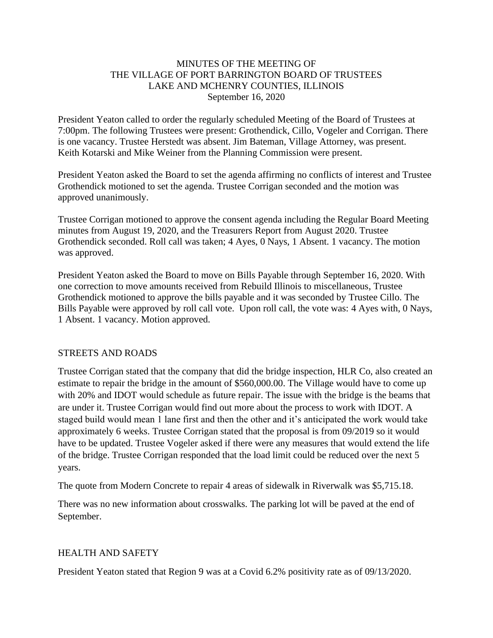### MINUTES OF THE MEETING OF THE VILLAGE OF PORT BARRINGTON BOARD OF TRUSTEES LAKE AND MCHENRY COUNTIES, ILLINOIS September 16, 2020

President Yeaton called to order the regularly scheduled Meeting of the Board of Trustees at 7:00pm. The following Trustees were present: Grothendick, Cillo, Vogeler and Corrigan. There is one vacancy. Trustee Herstedt was absent. Jim Bateman, Village Attorney, was present. Keith Kotarski and Mike Weiner from the Planning Commission were present.

President Yeaton asked the Board to set the agenda affirming no conflicts of interest and Trustee Grothendick motioned to set the agenda. Trustee Corrigan seconded and the motion was approved unanimously.

Trustee Corrigan motioned to approve the consent agenda including the Regular Board Meeting minutes from August 19, 2020, and the Treasurers Report from August 2020. Trustee Grothendick seconded. Roll call was taken; 4 Ayes, 0 Nays, 1 Absent. 1 vacancy. The motion was approved.

President Yeaton asked the Board to move on Bills Payable through September 16, 2020. With one correction to move amounts received from Rebuild Illinois to miscellaneous, Trustee Grothendick motioned to approve the bills payable and it was seconded by Trustee Cillo. The Bills Payable were approved by roll call vote. Upon roll call, the vote was: 4 Ayes with, 0 Nays, 1 Absent. 1 vacancy. Motion approved.

### STREETS AND ROADS

Trustee Corrigan stated that the company that did the bridge inspection, HLR Co, also created an estimate to repair the bridge in the amount of \$560,000.00. The Village would have to come up with 20% and IDOT would schedule as future repair. The issue with the bridge is the beams that are under it. Trustee Corrigan would find out more about the process to work with IDOT. A staged build would mean 1 lane first and then the other and it's anticipated the work would take approximately 6 weeks. Trustee Corrigan stated that the proposal is from 09/2019 so it would have to be updated. Trustee Vogeler asked if there were any measures that would extend the life of the bridge. Trustee Corrigan responded that the load limit could be reduced over the next 5 years.

The quote from Modern Concrete to repair 4 areas of sidewalk in Riverwalk was \$5,715.18.

There was no new information about crosswalks. The parking lot will be paved at the end of September.

### HEALTH AND SAFETY

President Yeaton stated that Region 9 was at a Covid 6.2% positivity rate as of 09/13/2020.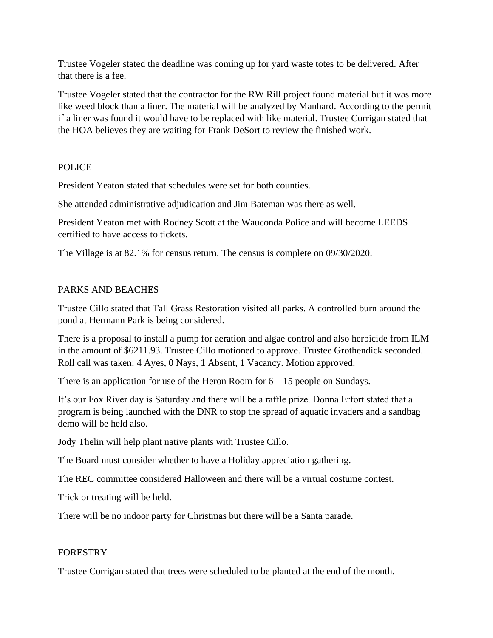Trustee Vogeler stated the deadline was coming up for yard waste totes to be delivered. After that there is a fee.

Trustee Vogeler stated that the contractor for the RW Rill project found material but it was more like weed block than a liner. The material will be analyzed by Manhard. According to the permit if a liner was found it would have to be replaced with like material. Trustee Corrigan stated that the HOA believes they are waiting for Frank DeSort to review the finished work.

# POLICE

President Yeaton stated that schedules were set for both counties.

She attended administrative adjudication and Jim Bateman was there as well.

President Yeaton met with Rodney Scott at the Wauconda Police and will become LEEDS certified to have access to tickets.

The Village is at 82.1% for census return. The census is complete on 09/30/2020.

# PARKS AND BEACHES

Trustee Cillo stated that Tall Grass Restoration visited all parks. A controlled burn around the pond at Hermann Park is being considered.

There is a proposal to install a pump for aeration and algae control and also herbicide from ILM in the amount of \$6211.93. Trustee Cillo motioned to approve. Trustee Grothendick seconded. Roll call was taken: 4 Ayes, 0 Nays, 1 Absent, 1 Vacancy. Motion approved.

There is an application for use of the Heron Room for  $6 - 15$  people on Sundays.

It's our Fox River day is Saturday and there will be a raffle prize. Donna Erfort stated that a program is being launched with the DNR to stop the spread of aquatic invaders and a sandbag demo will be held also.

Jody Thelin will help plant native plants with Trustee Cillo.

The Board must consider whether to have a Holiday appreciation gathering.

The REC committee considered Halloween and there will be a virtual costume contest.

Trick or treating will be held.

There will be no indoor party for Christmas but there will be a Santa parade.

### FORESTRY

Trustee Corrigan stated that trees were scheduled to be planted at the end of the month.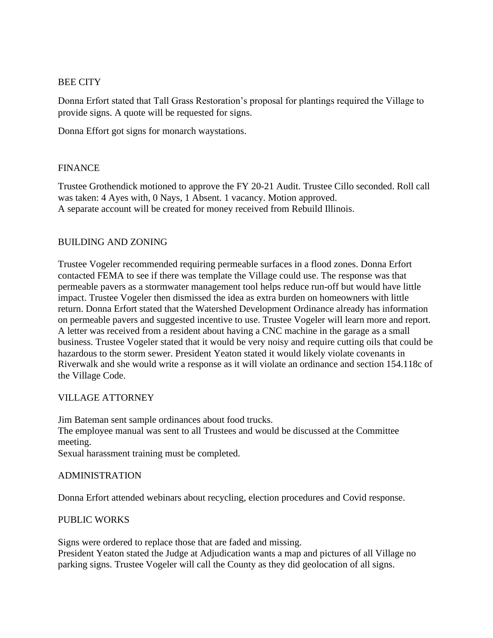### BEE CITY

Donna Erfort stated that Tall Grass Restoration's proposal for plantings required the Village to provide signs. A quote will be requested for signs.

Donna Effort got signs for monarch waystations.

### FINANCE

Trustee Grothendick motioned to approve the FY 20-21 Audit. Trustee Cillo seconded. Roll call was taken: 4 Ayes with, 0 Nays, 1 Absent. 1 vacancy. Motion approved. A separate account will be created for money received from Rebuild Illinois.

### BUILDING AND ZONING

Trustee Vogeler recommended requiring permeable surfaces in a flood zones. Donna Erfort contacted FEMA to see if there was template the Village could use. The response was that permeable pavers as a stormwater management tool helps reduce run-off but would have little impact. Trustee Vogeler then dismissed the idea as extra burden on homeowners with little return. Donna Erfort stated that the Watershed Development Ordinance already has information on permeable pavers and suggested incentive to use. Trustee Vogeler will learn more and report. A letter was received from a resident about having a CNC machine in the garage as a small business. Trustee Vogeler stated that it would be very noisy and require cutting oils that could be hazardous to the storm sewer. President Yeaton stated it would likely violate covenants in Riverwalk and she would write a response as it will violate an ordinance and section 154.118c of the Village Code.

### VILLAGE ATTORNEY

Jim Bateman sent sample ordinances about food trucks. The employee manual was sent to all Trustees and would be discussed at the Committee meeting. Sexual harassment training must be completed.

#### ADMINISTRATION

Donna Erfort attended webinars about recycling, election procedures and Covid response.

### PUBLIC WORKS

Signs were ordered to replace those that are faded and missing.

President Yeaton stated the Judge at Adjudication wants a map and pictures of all Village no parking signs. Trustee Vogeler will call the County as they did geolocation of all signs.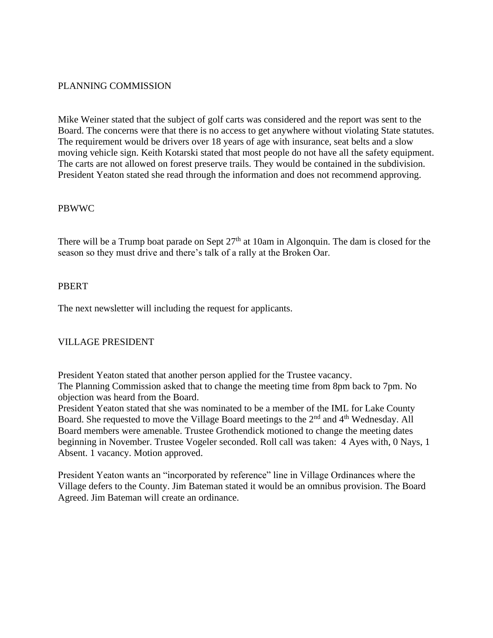### PLANNING COMMISSION

Mike Weiner stated that the subject of golf carts was considered and the report was sent to the Board. The concerns were that there is no access to get anywhere without violating State statutes. The requirement would be drivers over 18 years of age with insurance, seat belts and a slow moving vehicle sign. Keith Kotarski stated that most people do not have all the safety equipment. The carts are not allowed on forest preserve trails. They would be contained in the subdivision. President Yeaton stated she read through the information and does not recommend approving.

### PBWWC

There will be a Trump boat parade on Sept  $27<sup>th</sup>$  at 10am in Algonquin. The dam is closed for the season so they must drive and there's talk of a rally at the Broken Oar.

#### PBERT

The next newsletter will including the request for applicants.

### VILLAGE PRESIDENT

President Yeaton stated that another person applied for the Trustee vacancy. The Planning Commission asked that to change the meeting time from 8pm back to 7pm. No objection was heard from the Board.

President Yeaton stated that she was nominated to be a member of the IML for Lake County Board. She requested to move the Village Board meetings to the  $2<sup>nd</sup>$  and  $4<sup>th</sup>$  Wednesday. All Board members were amenable. Trustee Grothendick motioned to change the meeting dates beginning in November. Trustee Vogeler seconded. Roll call was taken: 4 Ayes with, 0 Nays, 1 Absent. 1 vacancy. Motion approved.

President Yeaton wants an "incorporated by reference" line in Village Ordinances where the Village defers to the County. Jim Bateman stated it would be an omnibus provision. The Board Agreed. Jim Bateman will create an ordinance.